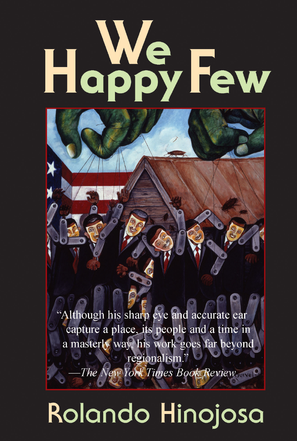# Hoppy Few

"Although his sharp eye and accurate ear capture a place, its people and a time in a masterly way, his work goes far beyond regionalism." The New York Times Book Review

# Rolando Hinojosa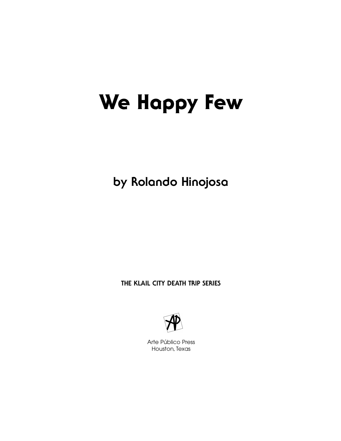# We Happy Few

## **by Rolando Hinojosa**

## **THE KLAIL CITY DEATH TRIP SERIES**



Arte Público Press Houston, Texas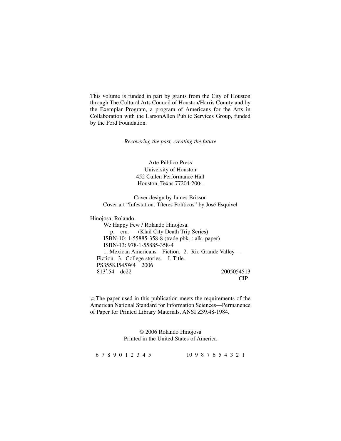This volume is funded in part by grants from the City of Houston through The Cultural Arts Council of Houston/Harris County and by the Exemplar Program, a program of Americans for the Arts in Collaboration with the LarsonAllen Public Services Group, funded by the Ford Foundation.

*Recovering the past, creating the future*

Arte Público Press University of Houston 452 Cullen Performance Hall Houston, Texas 77204-2004

Cover design by James Brisson Cover art "Infestation: Títeres Políticos" by José Esquivel

Hinojosa, Rolando.

We Happy Few / Rolando Hinojosa. p. cm. — (Klail City Death Trip Series) ISBN-10: 1-55885-358-8 (trade pbk. : alk. paper) ISBN-13: 978-1-55885-358-4 1. Mexican Americans—Fiction. 2. Rio Grande Valley— Fiction. 3. College stories. I. Title. PS3558.I545W4 2006 813′.54—dc22 2005054513 **CIP** 

The paper used in this publication meets the requirements of the American National Standard for Information Sciences—Permanence of Paper for Printed Library Materials, ANSI Z39.48-1984.

> © 2006 Rolando Hinojosa Printed in the United States of America

6 7 8 9 0 1 2 3 4 5 10 9 8 7 6 5 4 3 2 1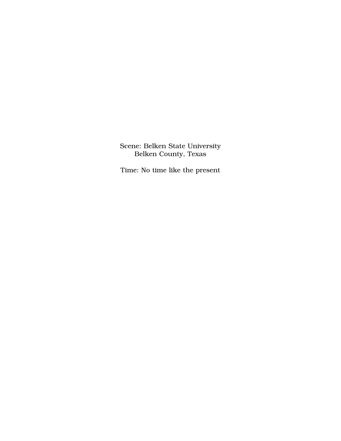### Scene: Belken State University Belken County, Texas

Time: No time like the present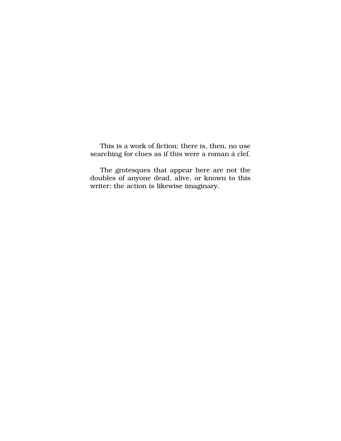This is a work of fiction; there is, then, no use searching for clues as if this were a roman à clef.

The grotesques that appear here are not the doubles of anyone dead, alive, or known to this writer; the action is likewise imaginary.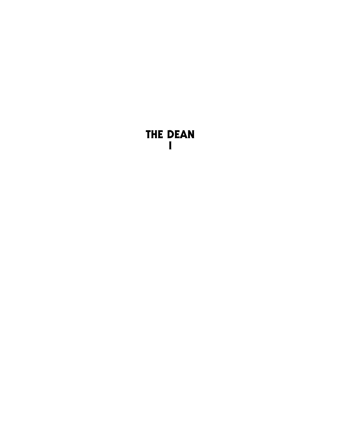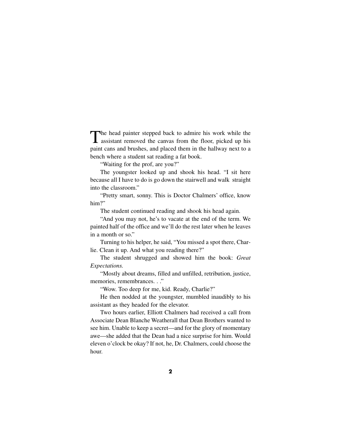The head painter stepped back to admire his work while the assistant removed the canvas from the floor, picked up his paint cans and brushes, and placed them in the hallway next to a bench where a student sat reading a fat book.

"Waiting for the prof, are you?"

The youngster looked up and shook his head. "I sit here because all I have to do is go down the stairwell and walk straight into the classroom."

"Pretty smart, sonny. This is Doctor Chalmers' office, know him?"

The student continued reading and shook his head again.

"And you may not, he's to vacate at the end of the term. We painted half of the office and we'll do the rest later when he leaves in a month or so."

Turning to his helper, he said, "You missed a spot there, Charlie. Clean it up. And what you reading there?"

The student shrugged and showed him the book: *Great Expectations.*

"Mostly about dreams, filled and unfilled, retribution, justice, memories, remembrances. . ."

"Wow. Too deep for me, kid. Ready, Charlie?"

He then nodded at the youngster, mumbled inaudibly to his assistant as they headed for the elevator.

Two hours earlier, Elliott Chalmers had received a call from Associate Dean Blanche Weatherall that Dean Brothers wanted to see him. Unable to keep a secret—and for the glory of momentary awe—she added that the Dean had a nice surprise for him. Would eleven o'clock be okay? If not, he, Dr. Chalmers, could choose the hour.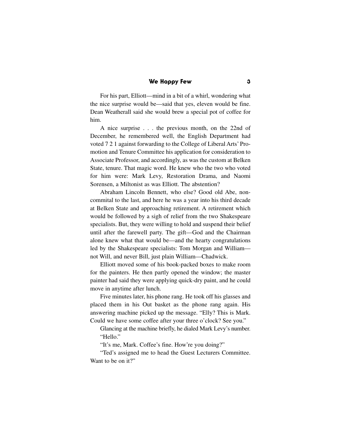For his part, Elliott—mind in a bit of a whirl, wondering what the nice surprise would be—said that yes, eleven would be fine. Dean Weatherall said she would brew a special pot of coffee for him.

A nice surprise . . . the previous month, on the 22nd of December, he remembered well, the English Department had voted 7 2 1 against forwarding to the College of Liberal Arts' Promotion and Tenure Committee his application for consideration to Associate Professor, and accordingly, as was the custom at Belken State, tenure. That magic word. He knew who the two who voted for him were: Mark Levy, Restoration Drama, and Naomi Sorensen, a Miltonist as was Elliott. The abstention?

Abraham Lincoln Bennett, who else? Good old Abe, noncommital to the last, and here he was a year into his third decade at Belken State and approaching retirement. A retirement which would be followed by a sigh of relief from the two Shakespeare specialists. But, they were willing to hold and suspend their belief until after the farewell party. The gift—God and the Chairman alone knew what that would be—and the hearty congratulations led by the Shakespeare specialists: Tom Morgan and William not Will, and never Bill, just plain William—Chadwick.

Elliott moved some of his book-packed boxes to make room for the painters. He then partly opened the window; the master painter had said they were applying quick-dry paint, and he could move in anytime after lunch.

Five minutes later, his phone rang. He took off his glasses and placed them in his Out basket as the phone rang again. His answering machine picked up the message. "Elly? This is Mark. Could we have some coffee after your three o'clock? See you."

Glancing at the machine briefly, he dialed Mark Levy's number. "Hello."

"It's me, Mark. Coffee's fine. How're you doing?"

"Ted's assigned me to head the Guest Lecturers Committee. Want to be on it?"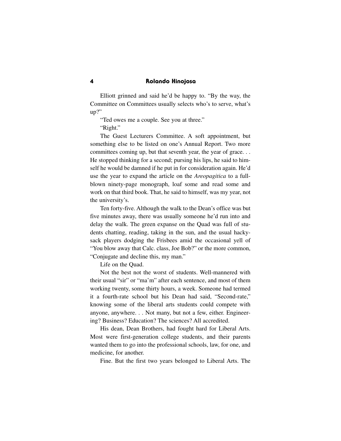#### 4 Rolando Hinojosa

Elliott grinned and said he'd be happy to. "By the way, the Committee on Committees usually selects who's to serve, what's up?"

"Ted owes me a couple. See you at three."

"Right."

The Guest Lecturers Committee. A soft appointment, but something else to be listed on one's Annual Report. Two more committees coming up, but that seventh year, the year of grace... He stopped thinking for a second; pursing his lips, he said to himself he would be damned if he put in for consideration again. He'd use the year to expand the article on the *Areopagitica* to a fullblown ninety-page monograph, loaf some and read some and work on that third book. That, he said to himself, was my year, not the university's.

Ten forty-five. Although the walk to the Dean's office was but five minutes away, there was usually someone he'd run into and delay the walk. The green expanse on the Quad was full of students chatting, reading, taking in the sun, and the usual hackysack players dodging the Frisbees amid the occasional yell of "You blow away that Calc. class, Joe Bob?" or the more common, "Conjugate and decline this, my man."

Life on the Quad.

Not the best not the worst of students. Well-mannered with their usual "sir" or "ma'm" after each sentence, and most of them working twenty, some thirty hours, a week. Someone had termed it a fourth-rate school but his Dean had said, "Second-rate," knowing some of the liberal arts students could compete with anyone, anywhere. . . Not many, but not a few, either. Engineering? Business? Education? The sciences? All accredited.

His dean, Dean Brothers, had fought hard for Liberal Arts. Most were first-generation college students, and their parents wanted them to go into the professional schools, law, for one, and medicine, for another.

Fine. But the first two years belonged to Liberal Arts. The